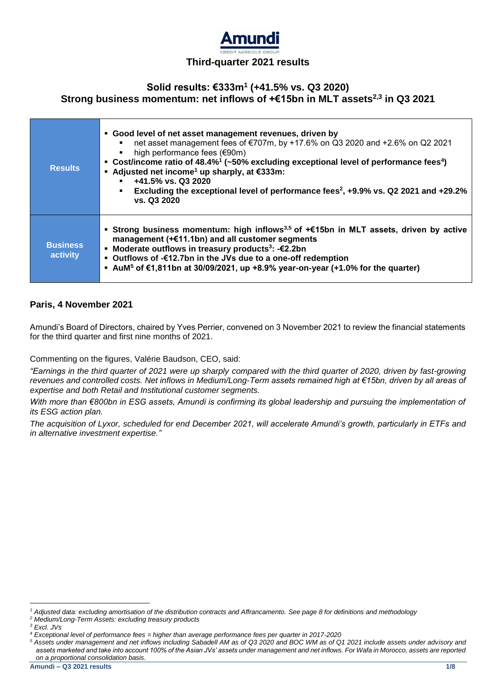

# **Solid results: €333m<sup>1</sup> (+41.5% vs. Q3 2020) Strong business momentum: net inflows of +€15bn in MLT assets2,3 in Q3 2021**

| <b>Results</b>              | • Good level of net asset management revenues, driven by<br>net asset management fees of €707m, by +17.6% on Q3 2020 and +2.6% on Q2 2021<br>$\blacksquare$<br>high performance fees (€90m)<br>٠<br>• Cost/income ratio of $48.4\%/$ (~50% excluding exceptional level of performance fees <sup>4</sup> )<br>■ Adjusted net income <sup>1</sup> up sharply, at $€333m$ :<br>$+41.5\%$ vs. Q3 2020<br>Excluding the exceptional level of performance fees <sup>2</sup> , +9.9% vs. Q2 2021 and +29.2%<br>vs. Q3 2020 |
|-----------------------------|---------------------------------------------------------------------------------------------------------------------------------------------------------------------------------------------------------------------------------------------------------------------------------------------------------------------------------------------------------------------------------------------------------------------------------------------------------------------------------------------------------------------|
| <b>Business</b><br>activity | Strong business momentum: high inflows <sup>3,5</sup> of $+\epsilon$ 15bn in MLT assets, driven by active<br>management (+€11.1bn) and all customer segments<br>■ Moderate outflows in treasury products <sup>3</sup> : - €2.2bn<br>• Outflows of -€12.7bn in the JVs due to a one-off redemption<br>■ AuM <sup>5</sup> of €1,811bn at 30/09/2021, up +8.9% year-on-year (+1.0% for the quarter)                                                                                                                    |

## **Paris, 4 November 2021**

Amundi's Board of Directors, chaired by Yves Perrier, convened on 3 November 2021 to review the financial statements for the third quarter and first nine months of 2021.

Commenting on the figures, Valérie Baudson, CEO, said:

*"Earnings in the third quarter of 2021 were up sharply compared with the third quarter of 2020, driven by fast-growing revenues and controlled costs. Net inflows in Medium/Long-Term assets remained high at €15bn, driven by all areas of expertise and both Retail and Institutional customer segments.* 

*With more than €800bn in ESG assets, Amundi is confirming its global leadership and pursuing the implementation of its ESG action plan.*

*The acquisition of Lyxor, scheduled for end December 2021, will accelerate Amundi's growth, particularly in ETFs and in alternative investment expertise."*

.

*<sup>5</sup> Assets under management and net inflows including Sabadell AM as of Q3 2020 and BOC WM as of Q1 2021 include assets under advisory and assets marketed and take into account 100% of the Asian JVs' assets under management and net inflows. For Wafa in Morocco, assets are reported on a proportional consolidation basis.*

*<sup>1</sup> Adjusted data: excluding amortisation of the distribution contracts and Affrancamento. See page 8 for definitions and methodology*

*<sup>2</sup> Medium/Long-Term Assets: excluding treasury products*

*<sup>3</sup> Excl. JVs*

*<sup>4</sup> Exceptional level of performance fees = higher than average performance fees per quarter in 2017-2020*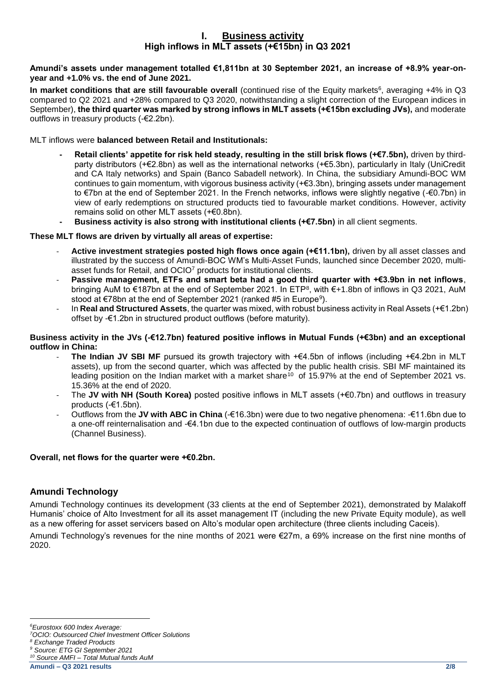## **I. Business activity High inflows in MLT assets (+€15bn) in Q3 2021**

### **Amundi's assets under management totalled €1,811bn at 30 September 2021, an increase of +8.9% year-onyear and +1.0% vs. the end of June 2021.**

**In market conditions that are still favourable overall** (continued rise of the Equity markets<sup>6</sup>, averaging +4% in Q3 compared to Q2 2021 and +28% compared to Q3 2020, notwithstanding a slight correction of the European indices in September), **the third quarter was marked by strong inflows in MLT assets (+€15bn excluding JVs),** and moderate outflows in treasury products (-€2.2bn).

## MLT inflows were **balanced between Retail and Institutionals:**

- **- Retail clients' appetite for risk held steady, resulting in the still brisk flows (+€7.5bn),** driven by thirdparty distributors (+€2.8bn) as well as the international networks (+€5.3bn), particularly in Italy (UniCredit and CA Italy networks) and Spain (Banco Sabadell network). In China, the subsidiary Amundi-BOC WM continues to gain momentum, with vigorous business activity (+€3.3bn), bringing assets under management to €7bn at the end of September 2021. In the French networks, inflows were slightly negative (-€0.7bn) in view of early redemptions on structured products tied to favourable market conditions. However, activity remains solid on other MLT assets (+€0.8bn).
- **- Business activity is also strong with institutional clients (+€7.5bn)** in all client segments.

## **These MLT flows are driven by virtually all areas of expertise:**

- **Active investment strategies posted high flows once again (+€11.1bn),** driven by all asset classes and illustrated by the success of Amundi-BOC WM's Multi-Asset Funds, launched since December 2020, multiasset funds for Retail, and OCIO<sup>7</sup> products for institutional clients.
- **Passive management, ETFs and smart beta had a good third quarter with +€3.9bn in net inflows,** bringing AuM to €187bn at the end of September 2021. In ETP<sup>8</sup>, with €+1.8bn of inflows in Q3 2021, AuM stood at €78bn at the end of September 2021 (ranked #5 in Europe<sup>9</sup>).
- In **Real and Structured Assets**, the quarter was mixed, with robust business activity in Real Assets (+€1.2bn) offset by -€1.2bn in structured product outflows (before maturity).

### **Business activity in the JVs (-€12.7bn) featured positive inflows in Mutual Funds (+€3bn) and an exceptional outflow in China:**

- The Indian JV SBI MF pursued its growth trajectory with +€4.5bn of inflows (including +€4.2bn in MLT assets), up from the second quarter, which was affected by the public health crisis. SBI MF maintained its leading position on the Indian market with a market share<sup>10</sup> of 15.97% at the end of September 2021 vs. 15.36% at the end of 2020.
- The **JV with NH (South Korea)** posted positive inflows in MLT assets (+€0.7bn) and outflows in treasury products (-€1.5bn).
- Outflows from the **JV with ABC in China** (-€16.3bn) were due to two negative phenomena: -€11.6bn due to a one-off reinternalisation and -€4.1bn due to the expected continuation of outflows of low-margin products (Channel Business).

### **Overall, net flows for the quarter were +€0.2bn.**

## **Amundi Technology**

Amundi Technology continues its development (33 clients at the end of September 2021), demonstrated by Malakoff Humanis' choice of Alto Investment for all its asset management IT (including the new Private Equity module), as well as a new offering for asset servicers based on Alto's modular open architecture (three clients including Caceis).

Amundi Technology's revenues for the nine months of 2021 were €27m, a 69% increase on the first nine months of 2020.

. *<sup>6</sup>Eurostoxx 600 Index Average:*

*<sup>7</sup>OCIO: Outsourced Chief Investment Officer Solutions* 

*<sup>8</sup> Exchange Traded Products*

*<sup>9</sup> Source: ETG GI September 2021 <sup>10</sup> Source AMFI – Total Mutual funds AuM*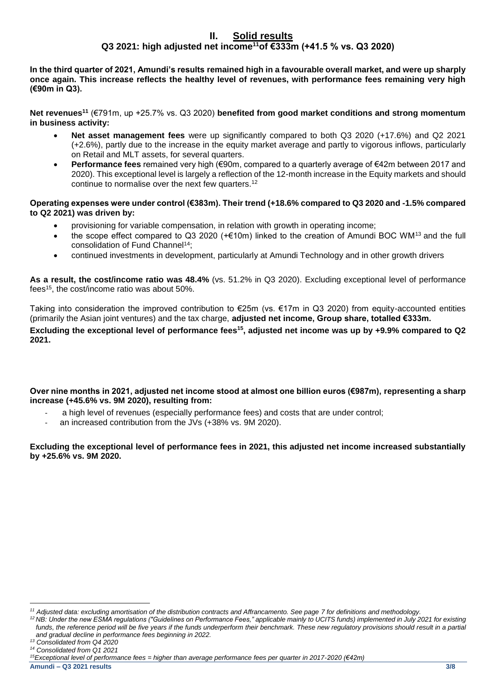# **II. Solid results Q3 2021: high adjusted net income<sup>11</sup>of €333m (+41.5 % vs. Q3 2020)**

**In the third quarter of 2021, Amundi's results remained high in a favourable overall market, and were up sharply once again. This increase reflects the healthy level of revenues, with performance fees remaining very high (€90m in Q3).** 

**Net revenues<sup>11</sup>** (€791m, up +25.7% vs. Q3 2020) **benefited from good market conditions and strong momentum in business activity:** 

- **Net asset management fees** were up significantly compared to both Q3 2020 (+17.6%) and Q2 2021 (+2.6%), partly due to the increase in the equity market average and partly to vigorous inflows, particularly on Retail and MLT assets, for several quarters.
- **Performance fees** remained very high (€90m, compared to a quarterly average of €42m between 2017 and 2020). This exceptional level is largely a reflection of the 12-month increase in the Equity markets and should continue to normalise over the next few quarters.<sup>12</sup>

### **Operating expenses were under control (€383m). Their trend (+18.6% compared to Q3 2020 and -1.5% compared to Q2 2021) was driven by:**

- provisioning for variable compensation, in relation with growth in operating income;
- the scope effect compared to Q3 2020 (+€10m) linked to the creation of Amundi BOC WM<sup>13</sup> and the full consolidation of Fund Channel<sup>14</sup>;
- continued investments in development, particularly at Amundi Technology and in other growth drivers

**As a result, the cost/income ratio was 48.4%** (vs. 51.2% in Q3 2020). Excluding exceptional level of performance fees<sup>15</sup>, the cost/income ratio was about 50%.

Taking into consideration the improved contribution to €25m (vs. €17m in Q3 2020) from equity-accounted entities (primarily the Asian joint ventures) and the tax charge, **adjusted net income, Group share, totalled €333m. Excluding the exceptional level of performance fees<sup>15</sup>, adjusted net income was up by +9.9% compared to Q2 2021.**

## **Over nine months in 2021, adjusted net income stood at almost one billion euros (€987m), representing a sharp increase (+45.6% vs. 9M 2020), resulting from:**

- a high level of revenues (especially performance fees) and costs that are under control;
- an increased contribution from the JVs (+38% vs. 9M 2020).

**Excluding the exceptional level of performance fees in 2021, this adjusted net income increased substantially by +25.6% vs. 9M 2020.**

<sup>.</sup> *<sup>11</sup> Adjusted data: excluding amortisation of the distribution contracts and Affrancamento. See page 7 for definitions and methodology.*

*<sup>12</sup> NB: Under the new ESMA regulations ("Guidelines on Performance Fees," applicable mainly to UCITS funds) implemented in July 2021 for existing funds, the reference period will be five years if the funds underperform their benchmark. These new regulatory provisions should result in a partial and gradual decline in performance fees beginning in 2022.*

*<sup>13</sup> Consolidated from Q4 2020* 

*<sup>14</sup> Consolidated from Q1 2021*

*<sup>15</sup>Exceptional level of performance fees = higher than average performance fees per quarter in 2017-2020 (€42m)*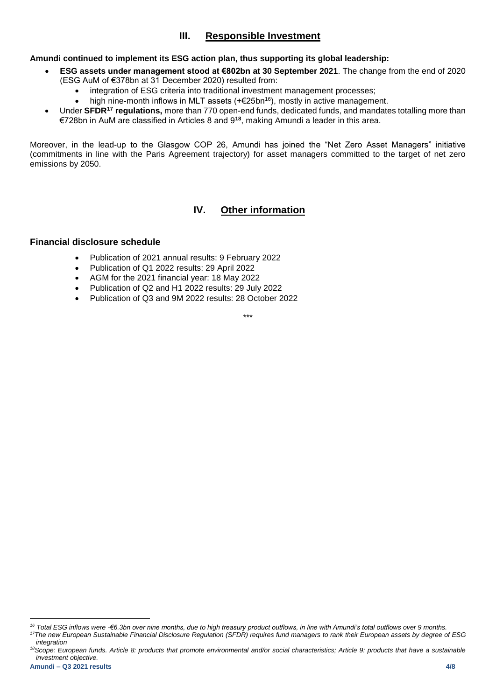# **III. Responsible Investment**

## **Amundi continued to implement its ESG action plan, thus supporting its global leadership:**

- **ESG assets under management stood at €802bn at 30 September 2021**. The change from the end of 2020 (ESG AuM of €378bn at 31 December 2020) resulted from:
	- integration of ESG criteria into traditional investment management processes;
	- high nine-month inflows in MLT assets (+€25bn<sup>16</sup>), mostly in active management.
- Under **SFDR<sup>17</sup> regulations,** more than 770 open-end funds, dedicated funds, and mandates totalling more than €728bn in AuM are classified in Articles 8 and 9**<sup>18</sup>**, making Amundi a leader in this area.

Moreover, in the lead-up to the Glasgow COP 26, Amundi has joined the "Net Zero Asset Managers" initiative (commitments in line with the Paris Agreement trajectory) for asset managers committed to the target of net zero emissions by 2050.

# **IV. Other information**

## **Financial disclosure schedule**

- Publication of 2021 annual results: 9 February 2022
- Publication of Q1 2022 results: 29 April 2022
- AGM for the 2021 financial year: 18 May 2022
- Publication of Q2 and H1 2022 results: 29 July 2022
- Publication of Q3 and 9M 2022 results: 28 October 2022

\*\*\*

.

*<sup>16</sup> Total ESG inflows were -€6.3bn over nine months, due to high treasury product outflows, in line with Amundi's total outflows over 9 months. <sup>17</sup>The new European Sustainable Financial Disclosure Regulation (SFDR) requires fund managers to rank their European assets by degree of ESG integration*

*<sup>18</sup>Scope: European funds. Article 8: products that promote environmental and/or social characteristics; Article 9: products that have a sustainable investment objective.*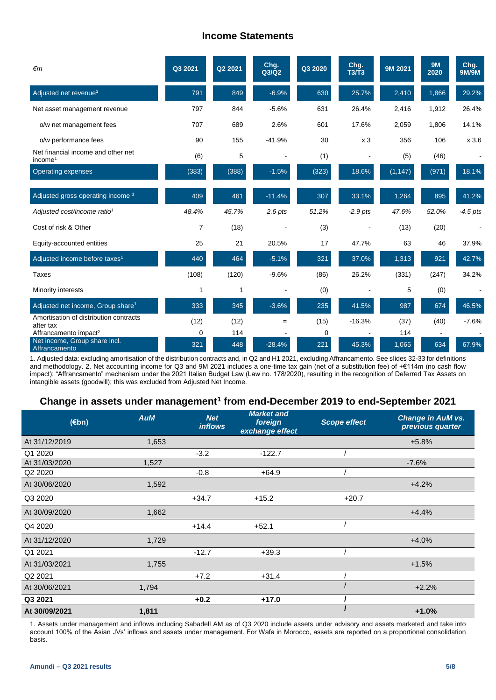# **Income Statements**

| €m                                                        | Q3 2021      | Q2 2021 | Chg.<br>Q3/Q2 | Q3 2020 | Chg.<br><b>T3/T3</b> | 9M 2021  | <b>9M</b><br>2020 | Chg.<br><b>9M/9M</b> |
|-----------------------------------------------------------|--------------|---------|---------------|---------|----------------------|----------|-------------------|----------------------|
| Adjusted net revenue <sup>1</sup>                         | 791          | 849     | $-6.9%$       | 630     | 25.7%                | 2,410    | 1,866             | 29.2%                |
| Net asset management revenue                              | 797          | 844     | $-5.6%$       | 631     | 26.4%                | 2,416    | 1,912             | 26.4%                |
| o/w net management fees                                   | 707          | 689     | 2.6%          | 601     | 17.6%                | 2,059    | 1.806             | 14.1%                |
| o/w performance fees                                      | 90           | 155     | $-41.9%$      | 30      | x <sub>3</sub>       | 356      | 106               | x 3.6                |
| Net financial income and other net<br>income <sup>1</sup> | (6)          | 5       |               | (1)     |                      | (5)      | (46)              |                      |
| <b>Operating expenses</b>                                 | (383)        | (388)   | $-1.5%$       | (323)   | 18.6%                | (1, 147) | (971)             | 18.1%                |
|                                                           |              |         |               |         |                      |          |                   |                      |
| Adjusted gross operating income 1                         | 409          | 461     | $-11.4%$      | 307     | 33.1%                | 1,264    | 895               | 41.2%                |
| Adjusted cost/income ratio <sup>1</sup>                   | 48.4%        | 45.7%   | $2.6$ pts     | 51.2%   | $-2.9$ pts           | 47.6%    | 52.0%             | $-4.5$ pts           |
| Cost of risk & Other                                      | 7            | (18)    |               | (3)     |                      | (13)     | (20)              | $\blacksquare$       |
| Equity-accounted entities                                 | 25           | 21      | 20.5%         | 17      | 47.7%                | 63       | 46                | 37.9%                |
| Adjusted income before taxes <sup>1</sup>                 | 440          | 464     | $-5.1%$       | 321     | 37.0%                | 1,313    | 921               | 42.7%                |
| Taxes                                                     | (108)        | (120)   | $-9.6%$       | (86)    | 26.2%                | (331)    | (247)             | 34.2%                |
| Minority interests                                        | $\mathbf{1}$ | 1       |               | (0)     |                      | 5        | (0)               |                      |
| Adjusted net income, Group share <sup>1</sup>             | 333          | 345     | $-3.6%$       | 235     | 41.5%                | 987      | 674               | 46.5%                |
| Amortisation of distribution contracts<br>after tax       | (12)         | (12)    | $=$           | (15)    | $-16.3%$             | (37)     | (40)              | $-7.6%$              |
| Affrancamento impact <sup>2</sup>                         | 0            | 114     |               | 0       |                      | 114      |                   |                      |
| Net income, Group share incl.<br>Affrancamento            | 321          | 448     | $-28.4%$      | 221     | 45.3%                | 1,065    | 634               | 67.9%                |

1. Adjusted data: excluding amortisation of the distribution contracts and, in Q2 and H1 2021, excluding Affrancamento. See slides 32-33 for definitions and methodology. 2. Net accounting income for Q3 and 9M 2021 includes a one-time tax gain (net of a substitution fee) of +€114m (no cash flow impact): "Affrancamento" mechanism under the 2021 Italian Budget Law (Law no. 178/2020), resulting in the recognition of Deferred Tax Assets on intangible assets (goodwill); this was excluded from Adjusted Net Income.

# **Change in assets under management<sup>1</sup> from end-December 2019 to end-September 2021**

| (Ebn)                           | <b>AuM</b> | <b>Net</b><br><i>inflows</i> | <b>Market and</b><br>foreign<br>exchange effect | Scope effect | <b>Change in AuM vs.</b><br>previous quarter |
|---------------------------------|------------|------------------------------|-------------------------------------------------|--------------|----------------------------------------------|
| At 31/12/2019                   | 1,653      |                              |                                                 |              | $+5.8%$                                      |
| Q1 2020                         |            | $-3.2$                       | $-122.7$                                        |              |                                              |
| At 31/03/2020                   | 1,527      |                              |                                                 |              | $-7.6%$                                      |
| Q <sub>2</sub> 20 <sub>20</sub> |            | $-0.8$                       | $+64.9$                                         |              |                                              |
| At 30/06/2020                   | 1,592      |                              |                                                 |              | $+4.2%$                                      |
| Q3 2020                         |            | $+34.7$                      | $+15.2$                                         | $+20.7$      |                                              |
| At 30/09/2020                   | 1,662      |                              |                                                 |              | $+4.4%$                                      |
| Q4 2020                         |            | $+14.4$                      | $+52.1$                                         |              |                                              |
| At 31/12/2020                   | 1,729      |                              |                                                 |              | $+4.0%$                                      |
| Q1 2021                         |            | $-12.7$                      | $+39.3$                                         |              |                                              |
| At 31/03/2021                   | 1,755      |                              |                                                 |              | $+1.5%$                                      |
| Q2 2021                         |            | $+7.2$                       | $+31.4$                                         |              |                                              |
| At 30/06/2021                   | 1,794      |                              |                                                 |              | $+2.2%$                                      |
| Q3 2021                         |            | $+0.2$                       | $+17.0$                                         |              |                                              |
| At 30/09/2021                   | 1,811      |                              |                                                 |              | $+1.0%$                                      |

1. Assets under management and inflows including Sabadell AM as of Q3 2020 include assets under advisory and assets marketed and take into account 100% of the Asian JVs' inflows and assets under management. For Wafa in Morocco, assets are reported on a proportional consolidation basis.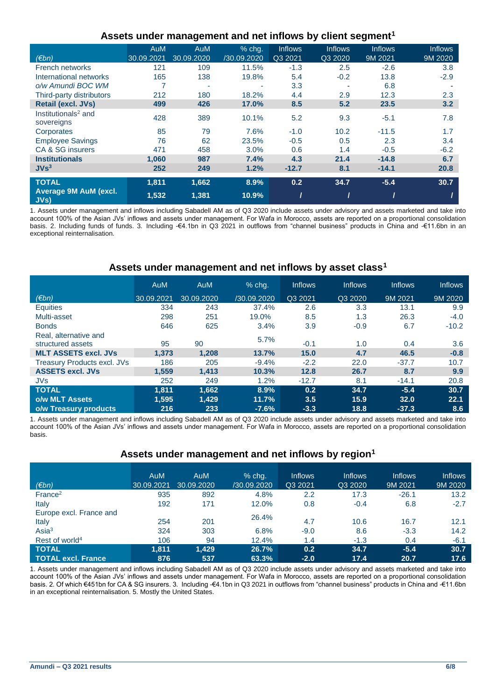| Assets under management and net inflows by client segment <sup>1</sup> |  |  |
|------------------------------------------------------------------------|--|--|
|------------------------------------------------------------------------|--|--|

|                                               | AuM        | AuM        | % chg.      | <b>Inflows</b> | <b>Inflows</b> | <b>Inflows</b> | <b>Inflows</b> |
|-----------------------------------------------|------------|------------|-------------|----------------|----------------|----------------|----------------|
| (Ebn)                                         | 30.09.2021 | 30.09.2020 | /30.09.2020 | Q3 2021        | Q3 2020        | 9M 2021        | 9M 2020        |
| <b>French networks</b>                        | 121        | 109        | 11.5%       | $-1.3$         | 2.5            | $-2.6$         | 3.8            |
| International networks                        | 165        | 138        | 19.8%       | 5.4            | $-0.2$         | 13.8           | $-2.9$         |
| o/w Amundi BOC WM                             | 7          |            | ٠           | 3.3            |                | 6.8            |                |
| Third-party distributors                      | 212        | 180        | 18.2%       | 4.4            | 2.9            | 12.3           | 2.3            |
| <b>Retail (excl. JVs)</b>                     | 499        | 426        | 17.0%       | 8.5            | 5.2            | 23.5           | 3.2            |
| Institutionals <sup>2</sup> and<br>sovereigns | 428        | 389        | 10.1%       | 5.2            | 9.3            | $-5.1$         | 7.8            |
| Corporates                                    | 85         | 79         | 7.6%        | $-1.0$         | 10.2           | $-11.5$        | 1.7            |
| <b>Employee Savings</b>                       | 76         | 62         | 23.5%       | $-0.5$         | 0.5            | 2.3            | 3.4            |
| CA & SG insurers                              | 471        | 458        | 3.0%        | 0.6            | 1.4            | $-0.5$         | $-6.2$         |
| <b>Institutionals</b>                         | 1.060      | 987        | 7.4%        | 4.3            | 21.4           | $-14.8$        | 6.7            |
| JVs <sup>3</sup>                              | 252        | 249        | 1.2%        | $-12.7$        | 8.1            | $-14.1$        | 20.8           |
| <b>TOTAL</b>                                  | 1,811      | 1,662      | 8.9%        | 0.2            | 34.7           | $-5.4$         | 30.7           |
| <b>Average 9M AuM (excl.</b><br>JVs)          | 1,532      | 1,381      | 10.9%       |                |                |                |                |

1. Assets under management and inflows including Sabadell AM as of Q3 2020 include assets under advisory and assets marketed and take into account 100% of the Asian JVs' inflows and assets under management. For Wafa in Morocco, assets are reported on a proportional consolidation basis. 2. Including funds of funds. 3. Including -€4.1bn in Q3 2021 in outflows from "channel business" products in China and -€11.6bn in an exceptional reinternalisation.

## **Assets under management and net inflows by asset class<sup>1</sup>**

|                                    | <b>AuM</b> | <b>AuM</b> | $%$ chq.    | <b>Inflows</b> | <b>Inflows</b> | <b>Inflows</b> | <b>Inflows</b> |
|------------------------------------|------------|------------|-------------|----------------|----------------|----------------|----------------|
| (€bn)                              | 30.09.2021 | 30.09.2020 | /30.09.2020 | Q3 2021        | Q3 2020        | 9M 2021        | 9M 2020        |
| <b>Equities</b>                    | 334        | 243        | 37.4%       | 2.6            | 3.3            | 13.1           | 9.9            |
| Multi-asset                        | 298        | 251        | 19.0%       | 8.5            | 1.3            | 26.3           | $-4.0$         |
| <b>Bonds</b>                       | 646        | 625        | 3.4%        | 3.9            | $-0.9$         | 6.7            | $-10.2$        |
| Real, alternative and              |            |            | 5.7%        |                |                |                |                |
| structured assets                  | 95         | 90         |             | $-0.1$         | 1.0            | 0.4            | 3.6            |
| <b>MLT ASSETS excl. JVs</b>        | 1.373      | 1.208      | 13.7%       | 15.0           | 4.7            | 46.5           | $-0.8$         |
| <b>Treasury Products excl. JVs</b> | 186        | 205        | $-9.4%$     | $-2.2$         | 22.0           | $-37.7$        | 10.7           |
| <b>ASSETS excl. JVs</b>            | 1.559      | 1.413      | 10.3%       | 12.8           | 26.7           | 8.7            | 9.9            |
| <b>JVs</b>                         | 252        | 249        | 1.2%        | $-12.7$        | 8.1            | $-14.1$        | 20.8           |
| <b>TOTAL</b>                       | 1.811      | 1.662      | 8.9%        | 0.2            | 34.7           | $-5.4$         | 30.7           |
| o/w MLT Assets                     | 1,595      | 1,429      | 11.7%       | 3.5            | 15.9           | 32.0           | 22.1           |
| o/w Treasury products              | 216        | 233        | $-7.6%$     | $-3.3$         | 18.8           | $-37.3$        | 8.6            |

1. Assets under management and inflows including Sabadell AM as of Q3 2020 include assets under advisory and assets marketed and take into account 100% of the Asian JVs' inflows and assets under management. For Wafa in Morocco, assets are reported on a proportional consolidation basis.

## **Assets under management and net inflows by region<sup>1</sup>**

| $(\epsilon$ bn)                  | <b>AuM</b><br>30.09.2021 | <b>AuM</b><br>30.09.2020 | $%$ chg.<br>/30.09.2020 | <b>Inflows</b><br>Q3 2021 | <b>Inflows</b><br>Q3 2020 | <b>Inflows</b><br>9M 2021 | <b>Inflows</b><br>9M 2020 |
|----------------------------------|--------------------------|--------------------------|-------------------------|---------------------------|---------------------------|---------------------------|---------------------------|
| France <sup>2</sup>              | 935                      | 892                      | 4.8%                    | 2.2                       | 17.3                      | $-26.1$                   | 13.2                      |
| Italy                            | 192                      | 171                      | 12.0%                   | 0.8                       | $-0.4$                    | 6.8                       | $-2.7$                    |
| Europe excl. France and<br>Italy | 254                      | 201                      | 26.4%                   | 4.7                       | 10.6                      | 16.7                      | 12.1                      |
| Asia <sup>3</sup>                | 324                      | 303                      | 6.8%                    | $-9.0$                    | 8.6                       | $-3.3$                    | 14.2                      |
| Rest of world <sup>4</sup>       | 106                      | 94                       | 12.4%                   | 1.4                       | $-1.3$                    | 0.4                       | $-6.1$                    |
| <b>TOTAL</b>                     | 1.811                    | 1.429                    | 26.7%                   | 0.2                       | 34.7                      | $-5.4$                    | 30.7                      |
| <b>TOTAL excl. France</b>        | 876                      | 537                      | 63.3%                   | $-2.0$                    | 17.4                      | 20.7                      | 17.6                      |

1. Assets under management and inflows including Sabadell AM as of Q3 2020 include assets under advisory and assets marketed and take into account 100% of the Asian JVs' inflows and assets under management. For Wafa in Morocco, assets are reported on a proportional consolidation basis. 2. Of which €451bn for CA & SG insurers. 3. Including -€4.1bn in Q3 2021 in outflows from "channel business" products in China and -€11.6bn in an exceptional reinternalisation. 5. Mostly the United States.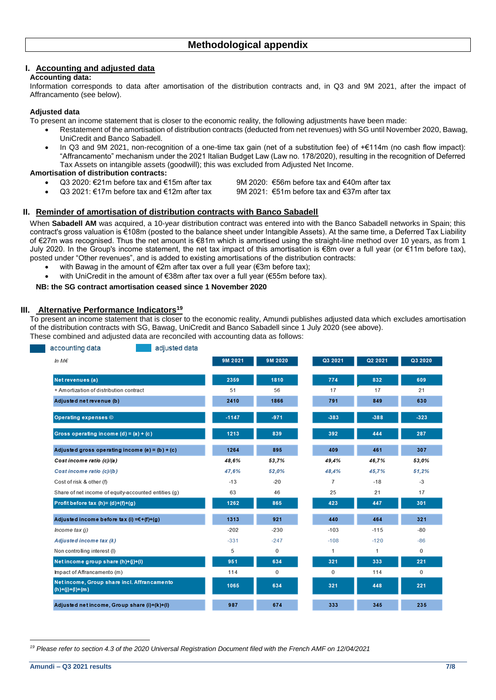### **I. Accounting and adjusted data**

### **Accounting data:**

Information corresponds to data after amortisation of the distribution contracts and, in Q3 and 9M 2021, after the impact of Affrancamento (see below).

### **Adjusted data**

To present an income statement that is closer to the economic reality, the following adjustments have been made:

- Restatement of the amortisation of distribution contracts (deducted from net revenues) with SG until November 2020, Bawag, UniCredit and Banco Sabadell.
	- In Q3 and 9M 2021, non-recognition of a one-time tax gain (net of a substitution fee) of +€114m (no cash flow impact): "Affrancamento" mechanism under the 2021 Italian Budget Law (Law no. 178/2020), resulting in the recognition of Deferred Tax Assets on intangible assets (goodwill); this was excluded from Adjusted Net Income.

### **Amortisation of distribution contracts:**

- 
- Q3 2020: €21m before tax and €15m after tax 9M 2020: €56m before tax and €40m after tax
	- Q3 2021: €17m before tax and €12m after tax 9M 2021: €51m before tax and €37m after tax
- 
- 
- 

### **II. Reminder of amortisation of distribution contracts with Banco Sabadell**

When **Sabadell AM** was acquired, a 10-year distribution contract was entered into with the Banco Sabadell networks in Spain; this contract's gross valuation is €108m (posted to the balance sheet under Intangible Assets). At the same time, a Deferred Tax Liability of €27m was recognised. Thus the net amount is €81m which is amortised using the straight-line method over 10 years, as from 1 July 2020. In the Group's income statement, the net tax impact of this amortisation is €8m over a full year (or €11m before tax), posted under "Other revenues", and is added to existing amortisations of the distribution contracts:

- with Bawag in the amount of €2m after tax over a full year (€3m before tax);
- with UniCredit in the amount of €38m after tax over a full year (€55m before tax).

#### **NB: the SG contract amortisation ceased since 1 November 2020**

#### **III. Alternative Performance Indicators<sup>19</sup>**

To present an income statement that is closer to the economic reality, Amundi publishes adjusted data which excludes amortisation of the distribution contracts with SG, Bawag, UniCredit and Banco Sabadell since 1 July 2020 (see above).

| These combined and adjusted data are reconciled with accounting data as follows: |  |
|----------------------------------------------------------------------------------|--|
|----------------------------------------------------------------------------------|--|

| accounting data<br>adjusted data                                 |         |         |                |         |              |
|------------------------------------------------------------------|---------|---------|----------------|---------|--------------|
| In $M\epsilon$                                                   | 9M 2021 | 9M 2020 | Q3 2021        | Q2 2021 | Q3 2020      |
| Net revenues (a)                                                 | 2359    | 1810    | 774            | 832     | 609          |
| + Amortization of distribution contract                          | 51      | 56      | 17             | 17      | 21           |
| Adjusted net revenue (b)                                         | 2410    | 1866    | 791            | 849     | 630          |
|                                                                  |         |         |                |         |              |
| Operating expenses $\odot$                                       | $-1147$ | $-971$  | $-383$         | $-388$  | $-323$       |
| Gross operating income $(d) = (a) + (c)$                         | 1213    | 839     | 392            | 444     | 287          |
| Adjusted gross operating income $(e) = (b) + (c)$                | 1264    | 895     | 409            | 461     | 307          |
| Cost income ratio (c)/(a)                                        | 48,6%   | 53,7%   | 49,4%          | 46,7%   | 53,0%        |
| Cost income ratio (c)/(b)                                        | 47,6%   | 52,0%   | 48,4%          | 45,7%   | 51,2%        |
| Cost of risk & other (f)                                         | $-13$   | $-20$   | $\overline{7}$ | $-18$   | $-3$         |
| Share of net income of equity-accounted entities (g)             | 63      | 46      | 25             | 21      | 17           |
| Profit before tax $(h) = (d)+(f)+(g)$                            | 1262    | 865     | 423            | 447     | 301          |
| Adjusted income before tax (i) = $E+(f)+(g)$                     | 1313    | 921     | 440            | 464     | 321          |
| Income tax (j)                                                   | $-202$  | $-230$  | $-103$         | $-115$  | $-80$        |
| Adjusted income tax (k)                                          | $-331$  | $-247$  | $-108$         | $-120$  | $-86$        |
| Non controlling interest (I)                                     | 5       | 0       | 1              | 1       | 0            |
| Net income group share (h)+(j)+(l)                               | 951     | 634     | 321            | 333     | 221          |
| Impact of Affrancamento (m)                                      | 114     | 0       | $\mathbf{0}$   | 114     | $\mathbf{0}$ |
| Net income, Group share incl. Affrancamento<br>$(h)+(j)+(l)+(m)$ | 1065    | 634     | 321            | 448     | 221          |
| Adjusted net income, Group share (i)+(k)+(l)                     | 987     | 674     | 333            | 345     | 235          |

<sup>.</sup> *<sup>19</sup> Please refer to section 4.3 of the 2020 Universal Registration Document filed with the French AMF on 12/04/2021*